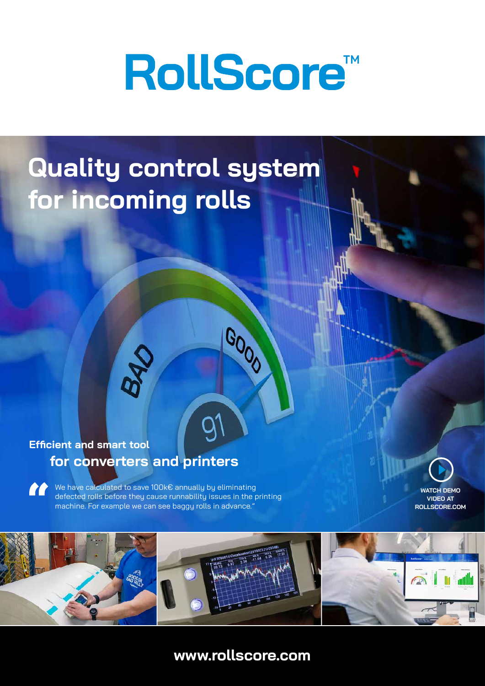# **RollScore™**

# **Quality control system for incoming rolls**

## **for converters and printers Efficient and smart tool**

**B40** 

We have calculated to save 100k€ annually by eliminating **AR** defected rolls before they cause runnability issues in the printing machine. For example we can see baggy rolls in advance."

**WATCH DEMO VIDEO AT ROLLSCORE.COM**



GOOD

# **www.rollscore.com**